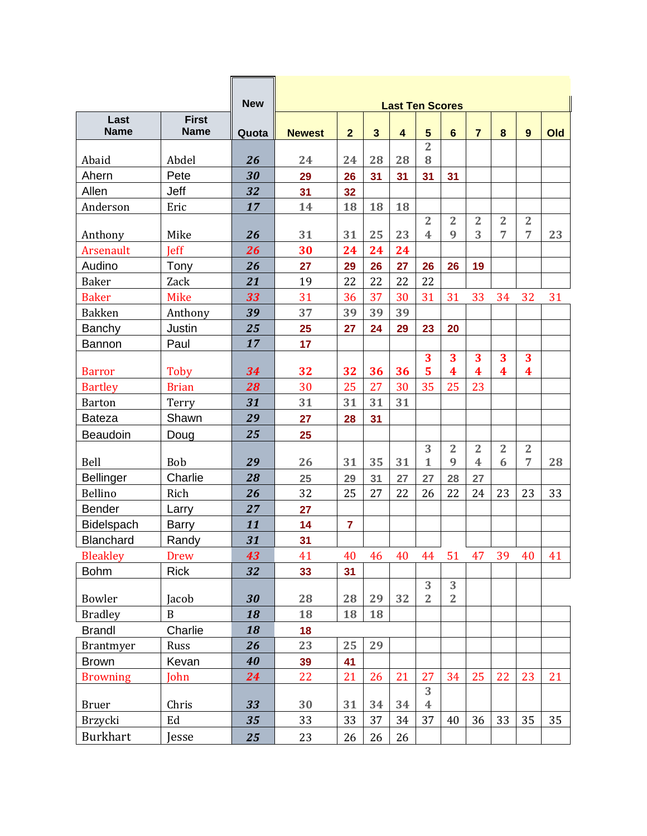|                     |                             | <b>New</b> |               |                         |                         | <b>Last Ten Scores</b>  |                                           |                     |                         |                     |                     |     |
|---------------------|-----------------------------|------------|---------------|-------------------------|-------------------------|-------------------------|-------------------------------------------|---------------------|-------------------------|---------------------|---------------------|-----|
| Last<br><b>Name</b> | <b>First</b><br><b>Name</b> | Quota      | <b>Newest</b> | $\overline{\mathbf{2}}$ | $\overline{\mathbf{3}}$ | $\overline{\mathbf{4}}$ | 5                                         | $6\phantom{a}$      | $\overline{7}$          | 8                   | 9                   | Old |
|                     |                             |            |               |                         |                         |                         | $\overline{2}$                            |                     |                         |                     |                     |     |
| Abaid               | Abdel                       | 26         | 24            | 24                      | 28                      | 28                      | 8                                         |                     |                         |                     |                     |     |
| Ahern               | Pete                        | 30         | 29            | 26                      | 31                      | 31                      | 31                                        | 31                  |                         |                     |                     |     |
| Allen               | Jeff                        | 32         | 31            | 32                      |                         |                         |                                           |                     |                         |                     |                     |     |
| Anderson            | Eric                        | 17         | 14            | 18                      | 18                      | 18                      |                                           |                     |                         |                     |                     |     |
| Anthony             | Mike                        | 26         | 31            | 31                      | 25                      | 23                      | $\overline{2}$<br>$\overline{\mathbf{4}}$ | $\overline{2}$<br>9 | $\overline{2}$<br>3     | $\overline{2}$<br>7 | $\overline{2}$<br>7 | 23  |
| Arsenault           | <b>Jeff</b>                 | 26         | 30            | 24                      | 24                      | 24                      |                                           |                     |                         |                     |                     |     |
| Audino              | Tony                        | 26         | 27            | 29                      | 26                      | 27                      | 26                                        | 26                  | 19                      |                     |                     |     |
| <b>Baker</b>        | Zack                        | 21         | 19            | 22                      | 22                      | 22                      | 22                                        |                     |                         |                     |                     |     |
| <b>Baker</b>        | <b>Mike</b>                 | 33         | 31            | 36                      | 37                      | 30                      | 31                                        | 31                  | 33                      | 34                  | 32                  | 31  |
| <b>Bakken</b>       | Anthony                     | 39         | 37            | 39                      | 39                      | 39                      |                                           |                     |                         |                     |                     |     |
| Banchy              | Justin                      | 25         | 25            | 27                      | 24                      | 29                      | 23                                        | 20                  |                         |                     |                     |     |
| Bannon              | Paul                        | 17         | 17            |                         |                         |                         |                                           |                     |                         |                     |                     |     |
|                     |                             |            |               |                         |                         |                         | 3                                         | 3                   | 3                       | 3                   | 3                   |     |
| <b>Barror</b>       | Toby                        | 34         | 32            | 32                      | 36                      | 36                      | 5                                         | $\boldsymbol{4}$    | $\boldsymbol{4}$        | 4                   | 4                   |     |
| <b>Bartley</b>      | <b>Brian</b>                | 28         | 30            | 25                      | 27                      | 30                      | 35                                        | 25                  | 23                      |                     |                     |     |
| <b>Barton</b>       | Terry                       | 31         | 31            | 31                      | 31                      | 31                      |                                           |                     |                         |                     |                     |     |
| <b>Bateza</b>       | Shawn                       | 29         | 27            | 28                      | 31                      |                         |                                           |                     |                         |                     |                     |     |
| Beaudoin            | Doug                        | 25         | 25            |                         |                         |                         |                                           |                     |                         |                     |                     |     |
|                     |                             |            |               |                         |                         |                         | 3                                         | $\overline{2}$      | $\overline{2}$          | $\overline{2}$      | $\overline{2}$      |     |
| Bell                | <b>Bob</b>                  | 29         | 26            | 31                      | 35                      | 31                      | 1                                         | 9                   | $\overline{\mathbf{4}}$ | 6                   | 7                   | 28  |
| <b>Bellinger</b>    | Charlie                     | 28         | 25            | 29                      | 31                      | 27                      | 27                                        | 28                  | 27                      |                     |                     |     |
| Bellino             | Rich                        | 26         | 32            | 25                      | 27                      | 22                      | 26                                        | 22                  | 24                      | 23                  | 23                  | 33  |
| <b>Bender</b>       | Larry                       | 27         | 27            |                         |                         |                         |                                           |                     |                         |                     |                     |     |
| Bidelspach          | <b>Barry</b>                | 11         | 14            | $\overline{7}$          |                         |                         |                                           |                     |                         |                     |                     |     |
| Blanchard           | Randy                       | 31         | 31            |                         |                         |                         |                                           |                     |                         |                     |                     |     |
| <b>Bleakley</b>     | <b>Drew</b>                 | 43         | 41            | 40                      | 46                      | 40                      | 44                                        | 51                  | 47                      | 39                  | 40                  | 41  |
| <b>Bohm</b>         | <b>Rick</b>                 | 32         | 33            | 31                      |                         |                         |                                           |                     |                         |                     |                     |     |
|                     |                             |            |               |                         |                         |                         | 3                                         | 3                   |                         |                     |                     |     |
| Bowler              | Jacob                       | 30         | 28            | 28                      | 29                      | 32                      | $\overline{2}$                            | $\overline{2}$      |                         |                     |                     |     |
| <b>Bradley</b>      | $\, {\bf B}$                | 18         | 18            | 18                      | 18                      |                         |                                           |                     |                         |                     |                     |     |
| <b>Brandl</b>       | Charlie                     | 18         | 18            |                         |                         |                         |                                           |                     |                         |                     |                     |     |
| Brantmyer           | Russ                        | 26         | 23            | 25                      | 29                      |                         |                                           |                     |                         |                     |                     |     |
| <b>Brown</b>        | Kevan                       | 40         | 39            | 41                      |                         |                         |                                           |                     |                         |                     |                     |     |
| <b>Browning</b>     | John                        | 24         | 22            | 21                      | 26                      | 21                      | 27                                        | 34                  | 25                      | 22                  | 23                  | 21  |
|                     |                             |            |               |                         |                         |                         | 3                                         |                     |                         |                     |                     |     |
| <b>Bruer</b>        | Chris                       | 33         | 30            | 31                      | 34                      | 34                      | $\overline{4}$                            |                     |                         |                     |                     |     |
| <b>Brzycki</b>      | Ed                          | 35         | 33            | 33                      | 37                      | 34                      | 37                                        | 40                  | 36                      | 33                  | 35                  | 35  |
| <b>Burkhart</b>     | Jesse                       | 25         | 23            | 26                      | 26                      | 26                      |                                           |                     |                         |                     |                     |     |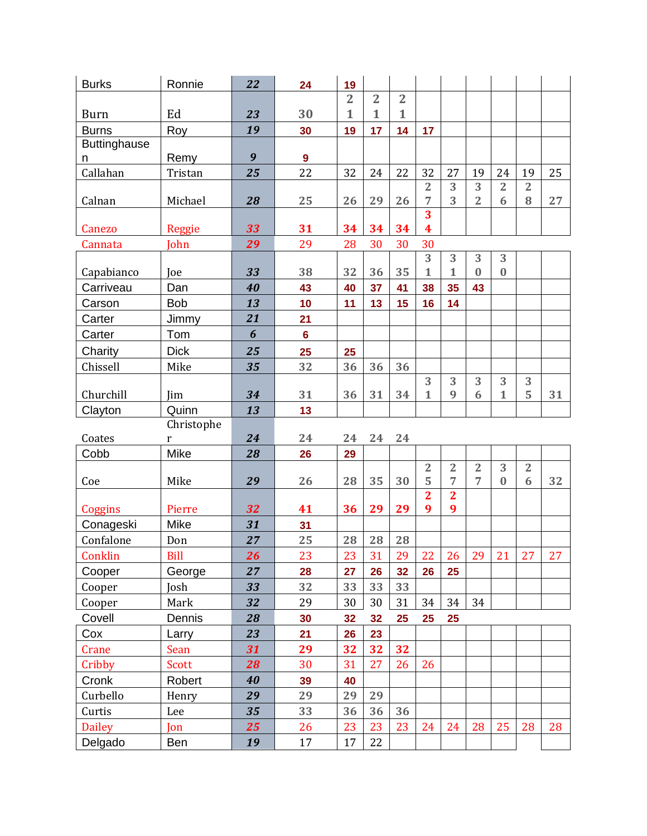| <b>Burks</b>        | Ronnie        | 22 | 24               | 19             |                |                |                              |                                  |                     |                     |                     |    |
|---------------------|---------------|----|------------------|----------------|----------------|----------------|------------------------------|----------------------------------|---------------------|---------------------|---------------------|----|
|                     |               |    |                  | $\overline{2}$ | $\overline{2}$ | $\overline{2}$ |                              |                                  |                     |                     |                     |    |
| <b>Burn</b>         | Ed            | 23 | 30               | $\mathbf{1}$   | $\mathbf{1}$   | $\mathbf{1}$   |                              |                                  |                     |                     |                     |    |
| <b>Burns</b>        | Roy           | 19 | 30               | 19             | 17             | 14             | 17                           |                                  |                     |                     |                     |    |
| <b>Buttinghause</b> |               |    |                  |                |                |                |                              |                                  |                     |                     |                     |    |
| n                   | Remy          | 9  | $\boldsymbol{9}$ |                |                |                |                              |                                  |                     |                     |                     |    |
| Callahan            | Tristan       | 25 | 22               | 32             | 24             | 22             | 32                           | 27                               | 19                  | 24                  | 19                  | 25 |
| Calnan              | Michael       | 28 | 25               | 26             | 29             | 26             | $\overline{2}$<br>7          | 3<br>3                           | 3<br>$\overline{2}$ | $\overline{2}$<br>6 | $\overline{2}$<br>8 | 27 |
| Canezo              | <b>Reggie</b> | 33 | 31               | 34             | 34             | 34             | 3<br>$\overline{\textbf{4}}$ |                                  |                     |                     |                     |    |
| Cannata             | John          | 29 | 29               | 28             | 30             | 30             | 30                           |                                  |                     |                     |                     |    |
| Capabianco          | Joe           | 33 | 38               | 32             | 36             | 35             | 3<br>$\mathbf 1$             | 3<br>$\mathbf{1}$                | 3<br>$\bf{0}$       | 3<br>$\bf{0}$       |                     |    |
| Carriveau           | Dan           | 40 | 43               | 40             | 37             | 41             | 38                           | 35                               | 43                  |                     |                     |    |
| Carson              | <b>Bob</b>    | 13 | 10               | 11             | 13             | 15             | 16                           | 14                               |                     |                     |                     |    |
| Carter              | Jimmy         | 21 | 21               |                |                |                |                              |                                  |                     |                     |                     |    |
| Carter              | Tom           | 6  | $6\phantom{a}$   |                |                |                |                              |                                  |                     |                     |                     |    |
| Charity             | <b>Dick</b>   | 25 | 25               | 25             |                |                |                              |                                  |                     |                     |                     |    |
| Chissell            | Mike          | 35 | 32               | 36             | 36             | 36             |                              |                                  |                     |                     |                     |    |
|                     |               |    |                  |                |                |                | 3                            | 3                                | 3                   | 3                   | 3                   |    |
| Churchill           | Jim           | 34 | 31               | 36             | 31             | 34             | 1                            | 9                                | 6                   | $\mathbf{1}$        | 5                   | 31 |
| Clayton             | Quinn         | 13 | 13               |                |                |                |                              |                                  |                     |                     |                     |    |
|                     |               |    |                  |                |                |                |                              |                                  |                     |                     |                     |    |
|                     | Christophe    |    |                  |                |                |                |                              |                                  |                     |                     |                     |    |
| Coates              | r             | 24 | 24               | 24             | 24             | 24             |                              |                                  |                     |                     |                     |    |
| Cobb                | Mike          | 28 | 26               | 29             |                |                |                              |                                  |                     |                     |                     |    |
| Coe                 | Mike          | 29 | 26               | 28             | 35             | 30             | $\overline{2}$<br>5          | $\overline{2}$<br>$\overline{7}$ | $\overline{2}$<br>7 | 3<br>$\bf{0}$       | $\overline{2}$<br>6 | 32 |
| Coggins             | Pierre        | 32 | 41               | 36             | 29             | 29             | $\overline{2}$<br>9          | $\overline{2}$<br>9              |                     |                     |                     |    |
| Conageski           | Mike          | 31 | 31               |                |                |                |                              |                                  |                     |                     |                     |    |
| Confalone           | Don           | 27 | 25               | 28             | 28             | 28             |                              |                                  |                     |                     |                     |    |
| Conklin             | <b>Bill</b>   | 26 | 23               | 23             | 31             | 29             | 22                           | 26                               | 29                  | 21                  | 27                  | 27 |
| Cooper              | George        | 27 | 28               | 27             | 26             | 32             | 26                           | 25                               |                     |                     |                     |    |
| Cooper              | Josh          | 33 | 32               | 33             | 33             | 33             |                              |                                  |                     |                     |                     |    |
| Cooper              | Mark          | 32 | 29               | 30             | 30             | 31             | 34                           | 34                               | 34                  |                     |                     |    |
| Covell              | Dennis        | 28 | 30               | 32             | 32             | 25             | 25                           | 25                               |                     |                     |                     |    |
| Cox                 | Larry         | 23 | 21               | 26             | 23             |                |                              |                                  |                     |                     |                     |    |
| Crane               | Sean          | 31 | 29               | 32             | 32             | 32             |                              |                                  |                     |                     |                     |    |
| Cribby              | Scott         | 28 | 30               | 31             | 27             | 26             | 26                           |                                  |                     |                     |                     |    |
| Cronk               | Robert        | 40 | 39               | 40             |                |                |                              |                                  |                     |                     |                     |    |
| Curbello            | Henry         | 29 | 29               | 29             | 29             |                |                              |                                  |                     |                     |                     |    |
| Curtis              | Lee           | 35 | 33               | 36             | 36             | 36             |                              |                                  |                     |                     |                     |    |
| <b>Dailey</b>       | Jon           | 25 | 26               | 23             | 23             | 23             | 24                           | 24                               | 28                  | 25                  | 28                  | 28 |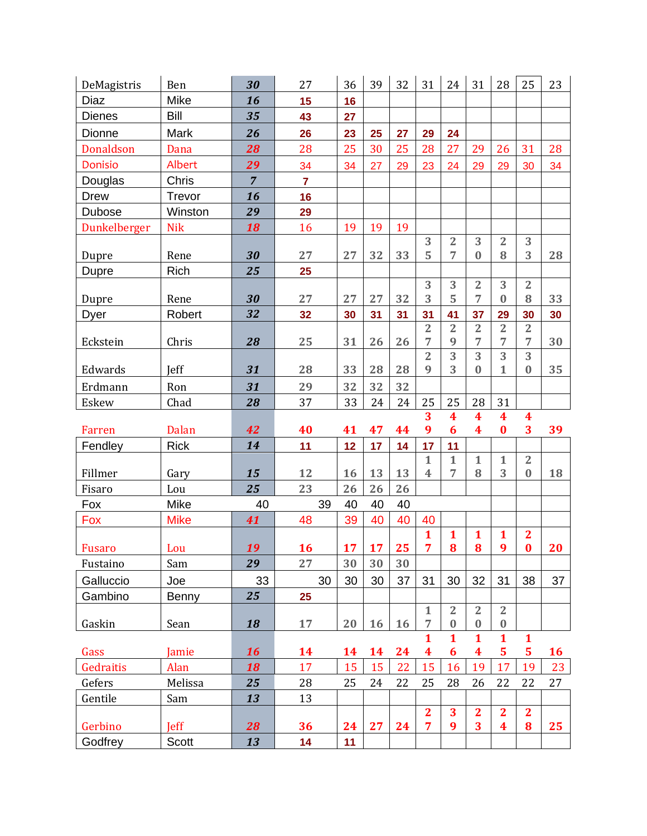| DeMagistris      | Ben         | 30             | 27             | 36        | 39 | 32 | 31                 | 24                             | 31                      | 28                               | 25                       | 23 |
|------------------|-------------|----------------|----------------|-----------|----|----|--------------------|--------------------------------|-------------------------|----------------------------------|--------------------------|----|
| Diaz             | Mike        | 16             | 15             | 16        |    |    |                    |                                |                         |                                  |                          |    |
| <b>Dienes</b>    | Bill        | 35             | 43             | 27        |    |    |                    |                                |                         |                                  |                          |    |
| Dionne           | <b>Mark</b> | 26             | 26             | 23        | 25 | 27 | 29                 | 24                             |                         |                                  |                          |    |
| <b>Donaldson</b> | Dana        | 28             | 28             | 25        | 30 | 25 | 28                 | 27                             | 29                      | 26                               | 31                       | 28 |
| Donisio          | Albert      | 29             | 34             | 34        | 27 | 29 | 23                 | 24                             | 29                      | 29                               | 30                       | 34 |
| Douglas          | Chris       | $\overline{7}$ | $\overline{7}$ |           |    |    |                    |                                |                         |                                  |                          |    |
| <b>Drew</b>      | Trevor      | 16             | 16             |           |    |    |                    |                                |                         |                                  |                          |    |
| Dubose           | Winston     | 29             | 29             |           |    |    |                    |                                |                         |                                  |                          |    |
| Dunkelberger     | <b>Nik</b>  | 18             | 16             | 19        | 19 | 19 |                    |                                |                         |                                  |                          |    |
|                  |             |                |                |           |    |    | 3                  | $\overline{2}$                 | 3                       | $\boldsymbol{2}$                 | 3                        |    |
| Dupre            | Rene        | 30             | 27             | 27        | 32 | 33 | 5                  | $\overline{7}$                 | $\bf{0}$                | 8                                | 3                        | 28 |
| Dupre            | Rich        | 25             | 25             |           |    |    |                    |                                |                         |                                  |                          |    |
| Dupre            | Rene        | 30             | 27             | 27        | 27 | 32 | 3<br>3             | 3<br>5                         | $\overline{2}$<br>7     | 3<br>$\bf{0}$                    | $\overline{2}$<br>8      | 33 |
| Dyer             | Robert      | 32             | 32             | 30        | 31 | 31 | 31                 | 41                             | 37                      | 29                               | 30                       | 30 |
|                  |             |                |                |           |    |    | $\overline{2}$     | $\overline{2}$                 | $\overline{2}$          | $\overline{2}$                   | $\overline{2}$           |    |
| Eckstein         | Chris       | 28             | 25             | 31        | 26 | 26 | 7                  | 9                              | 7                       | 7                                | 7                        | 30 |
|                  |             |                |                |           |    |    | $\overline{2}$     | 3                              | $\overline{3}$          | 3                                | 3                        |    |
| Edwards          | Jeff        | 31             | 28             | 33        | 28 | 28 | 9                  | 3                              | $\bf{0}$                | 1                                | $\bf{0}$                 | 35 |
| Erdmann          | Ron         | 31             | 29             | 32        | 32 | 32 |                    |                                |                         |                                  |                          |    |
| Eskew            | Chad        | 28             | 37             | 33        | 24 | 24 | 25                 | 25                             | 28                      | 31                               |                          |    |
|                  |             |                |                |           |    |    |                    |                                |                         |                                  |                          |    |
|                  |             |                |                |           |    |    | 3                  | $\overline{\textbf{4}}$        | $\overline{\mathbf{4}}$ | $\overline{\mathbf{4}}$          | $\overline{\mathbf{4}}$  |    |
| Farren           | Dalan       | 42             | 40             | 41        | 47 | 44 | 9                  | 6                              | $\boldsymbol{4}$        | $\bf{0}$                         | 3                        | 39 |
| Fendley          | <b>Rick</b> | 14             | 11             | 12        | 17 | 14 | 17                 | 11                             |                         |                                  |                          |    |
|                  |             |                |                |           |    |    | $\mathbf{1}$       | $\mathbf{1}$                   | $\mathbf{1}$            | $\mathbf{1}$                     | $\overline{2}$           |    |
| Fillmer          | Gary        | 15             | 12             | 16        | 13 | 13 | 4                  | $\overline{7}$                 | 8                       | 3                                | $\bf{0}$                 | 18 |
| Fisaro           | Lou         | 25             | 23             | 26        | 26 | 26 |                    |                                |                         |                                  |                          |    |
| Fox              | Mike        | 40             | 39             | 40        | 40 | 40 |                    |                                |                         |                                  |                          |    |
| Fox              | <b>Mike</b> | 41             | 48             | 39        | 40 | 40 | 40<br>$\mathbf{1}$ |                                |                         |                                  |                          |    |
| Fusaro           | Lou         | <u>19</u>      | <b>16</b>      | <b>17</b> | 17 | 25 | $\overline{7}$     | $\mathbf{1}$<br>8 <sup>1</sup> | $\mathbf{1}$<br>8       | $\mathbf{1}$<br>$\boldsymbol{9}$ | $\mathbf{2}$<br>$\bf{0}$ | 20 |
| Fustaino         | Sam         | 29             | 27             | 30        | 30 | 30 |                    |                                |                         |                                  |                          |    |
| Galluccio        | Joe         | 33             | 30             | 30        | 30 | 37 | 31                 | 30                             | 32                      | 31                               | 38                       | 37 |
| Gambino          | Benny       | 25             | 25             |           |    |    |                    |                                |                         |                                  |                          |    |
|                  |             |                |                |           |    |    | $\mathbf{1}$       | $\overline{2}$                 | 2                       | $\overline{2}$                   |                          |    |
| Gaskin           | Sean        | 18             | 17             | 20        | 16 | 16 | 7                  | $\bf{0}$                       | $\bf{0}$                | $\bf{0}$                         |                          |    |
|                  |             |                |                |           |    |    | 1                  | $\mathbf{1}$                   | $\mathbf{1}$            | $\mathbf{1}$                     | $\mathbf{1}$             |    |
| Gass             | Jamie       | 16             | 14             | 14        | 14 | 24 | 4                  | 6                              | $\overline{\mathbf{4}}$ | 5                                | 5                        | 16 |
| Gedraitis        | Alan        | 18             | 17             | 15        | 15 | 22 | 15                 | 16                             | 19                      | 17                               | 19                       | 23 |
| Gefers           | Melissa     | 25             | 28             | 25        | 24 | 22 | 25                 | 28                             | 26                      | 22                               | 22                       | 27 |
| Gentile          | Sam         | 13             | 13             |           |    |    |                    |                                |                         |                                  |                          |    |
| Gerbino          | <b>Jeff</b> | 28             | 36             | 24        | 27 | 24 | $\mathbf{2}$<br>7  | 3<br>9                         | $\mathbf{2}$<br>3       | $\mathbf{2}$<br>$\boldsymbol{4}$ | $\overline{2}$<br>8      | 25 |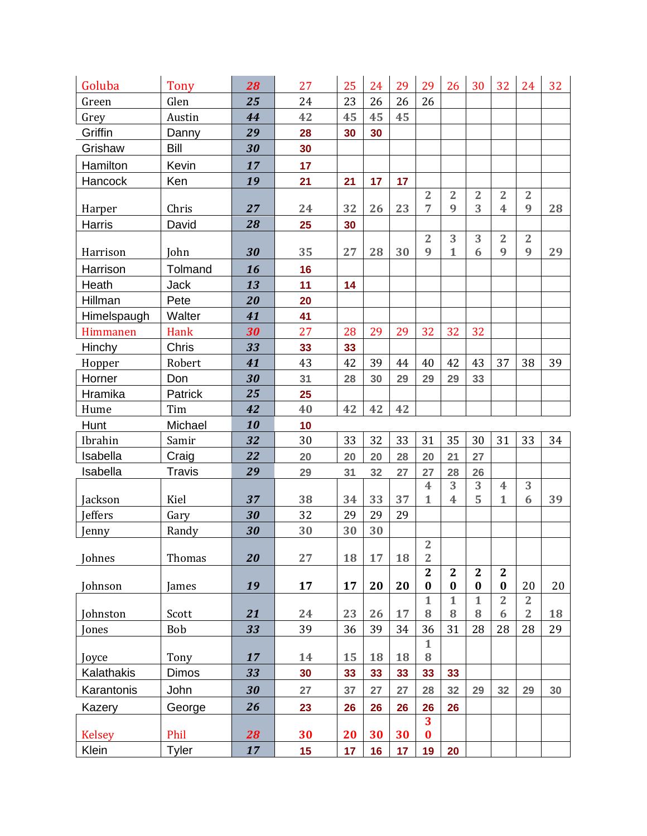| Goluba          | <b>Tony</b>    | 28       | 27       | 25              | 24 | 29 | 29                       | 26                       | 30                       | 32                                 | 24                   | 32 |
|-----------------|----------------|----------|----------|-----------------|----|----|--------------------------|--------------------------|--------------------------|------------------------------------|----------------------|----|
| Green           | Glen           | 25       | 24       | 23              | 26 | 26 | 26                       |                          |                          |                                    |                      |    |
| Grey            | Austin         | 44       | 42       | 45              | 45 | 45 |                          |                          |                          |                                    |                      |    |
| Griffin         | Danny          | 29       | 28       | 30              | 30 |    |                          |                          |                          |                                    |                      |    |
| Grishaw         | Bill           | 30       | 30       |                 |    |    |                          |                          |                          |                                    |                      |    |
| Hamilton        | Kevin          | 17       | 17       |                 |    |    |                          |                          |                          |                                    |                      |    |
| Hancock         | Ken            | 19       | 21       | 21              | 17 | 17 |                          |                          |                          |                                    |                      |    |
|                 |                |          |          |                 |    |    | $\overline{2}$           | $\overline{2}$           | $\overline{2}$           | $\overline{2}$                     | $\overline{2}$       |    |
| Harper          | Chris          | 27       | 24       | 32              | 26 | 23 | 7                        | 9                        | 3                        | 4                                  | 9                    | 28 |
| Harris          | David          | 28       | 25       | 30              |    |    |                          |                          |                          |                                    |                      |    |
|                 |                | 30       | 35       | 27              | 28 | 30 | $\overline{2}$<br>9      | 3<br>$\mathbf{1}$        | 3<br>6                   | $\overline{2}$<br>9                | $\overline{2}$<br>9  | 29 |
| Harrison        | John           |          |          |                 |    |    |                          |                          |                          |                                    |                      |    |
| Harrison        | Tolmand        | 16       | 16       |                 |    |    |                          |                          |                          |                                    |                      |    |
| Heath           | <b>Jack</b>    | 13       | 11       | 14              |    |    |                          |                          |                          |                                    |                      |    |
| Hillman         | Pete           | 20       | 20       |                 |    |    |                          |                          |                          |                                    |                      |    |
| Himelspaugh     | Walter         | 41       | 41       |                 |    |    |                          |                          |                          |                                    |                      |    |
| Himmanen        | Hank           | 30       | 27       | 28              | 29 | 29 | 32                       | 32                       | 32                       |                                    |                      |    |
| Hinchy          | Chris          | 33       | 33       | 33              |    |    |                          |                          |                          |                                    |                      |    |
| Hopper          | Robert         | 41       | 43       | 42              | 39 | 44 | 40                       | 42                       | 43                       | 37                                 | 38                   | 39 |
| Horner          | Don            | 30       | 31       | 28              | 30 | 29 | 29                       | 29                       | 33                       |                                    |                      |    |
| Hramika         | Patrick        | 25<br>42 | 25<br>40 | 42              | 42 | 42 |                          |                          |                          |                                    |                      |    |
| Hume            | Tim<br>Michael | 10       |          |                 |    |    |                          |                          |                          |                                    |                      |    |
| Hunt<br>Ibrahin | Samir          | 32       | 10<br>30 | 33              | 32 | 33 | 31                       | 35                       | 30                       | 31                                 | 33                   | 34 |
| Isabella        | Craig          | 22       | 20       | 20              | 20 | 28 | 20                       | 21                       | 27                       |                                    |                      |    |
| Isabella        | <b>Travis</b>  | 29       | 29       |                 | 32 | 27 | 27                       | 28                       | 26                       |                                    |                      |    |
|                 |                |          |          | 31              |    |    | $\overline{\mathbf{4}}$  | 3                        | 3                        | $\overline{4}$                     | 3                    |    |
| Jackson         | Kiel           | 37       | 38       | 34              | 33 | 37 | $\mathbf{1}$             | $\overline{\mathbf{4}}$  | 5                        | $\mathbf{1}$                       | 6                    | 39 |
| Jeffers         | Gary           | 30       | 32       | 29              | 29 | 29 |                          |                          |                          |                                    |                      |    |
| Jenny           | Randy          | 30       | 30       | 30              | 30 |    |                          |                          |                          |                                    |                      |    |
|                 |                |          |          |                 |    |    | $\overline{2}$           |                          |                          |                                    |                      |    |
| Johnes          | Thomas         | 20       | 27       | 18              | 17 | 18 | $\overline{2}$           |                          |                          |                                    |                      |    |
|                 |                |          |          |                 |    |    | $\overline{2}$           | $\overline{2}$           | $\mathbf{2}$             | $\mathbf{2}$                       |                      |    |
| Johnson         | James          | 19       | 17       | 17              | 20 | 20 | $\bf{0}$<br>$\mathbf{1}$ | $\bf{0}$<br>$\mathbf{1}$ | $\bf{0}$<br>$\mathbf{1}$ | $\boldsymbol{0}$<br>$\overline{2}$ | 20<br>$\overline{2}$ | 20 |
| Johnston        | Scott          | 21       | 24       | 23              | 26 | 17 | 8                        | 8                        | 8                        | 6                                  | $\overline{2}$       | 18 |
| <b>Jones</b>    | <b>Bob</b>     | 33       | 39       | 36              | 39 | 34 | 36                       | 31                       | 28                       | 28                                 | 28                   | 29 |
|                 |                |          |          |                 |    |    | $\mathbf{1}$             |                          |                          |                                    |                      |    |
| Joyce           | Tony           | 17       | 14       | 15              | 18 | 18 | $\bf 8$                  |                          |                          |                                    |                      |    |
| Kalathakis      | <b>Dimos</b>   | 33       | 30       | 33              | 33 | 33 | 33                       | 33                       |                          |                                    |                      |    |
| Karantonis      | John           | 30       | 27       | 37              | 27 | 27 | 28                       | 32                       | 29                       | 32                                 | 29                   | 30 |
| Kazery          | George         | 26       | 23       | 26              | 26 | 26 | 26                       | 26                       |                          |                                    |                      |    |
|                 |                |          |          |                 |    |    | 3                        |                          |                          |                                    |                      |    |
| <b>Kelsey</b>   | Phil           | 28       | 30       | 20              | 30 | 30 | $\bf{0}$                 |                          |                          |                                    |                      |    |
| Klein           | <b>Tyler</b>   | 17       | 15       | 17 <sub>2</sub> | 16 | 17 | 19                       | 20                       |                          |                                    |                      |    |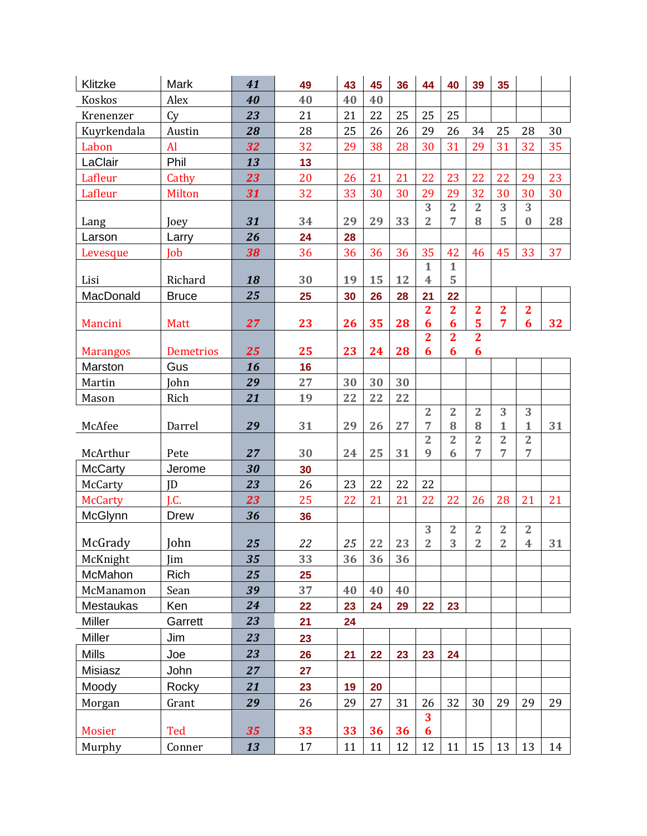| Klitzke                   | Mark             | 41       | 49       | 43 | 45 | 36 | 44                                      | 40                | 39                      | 35                               |                         |    |
|---------------------------|------------------|----------|----------|----|----|----|-----------------------------------------|-------------------|-------------------------|----------------------------------|-------------------------|----|
| <b>Koskos</b>             | Alex             | 40       | 40       | 40 | 40 |    |                                         |                   |                         |                                  |                         |    |
| Krenenzer                 | Cy               | 23       | 21       | 21 | 22 | 25 | 25                                      | 25                |                         |                                  |                         |    |
| Kuyrkendala               | Austin           | 28       | 28       | 25 | 26 | 26 | 29                                      | 26                | 34                      | 25                               | 28                      | 30 |
| Labon                     | Al               | 32       | 32       | 29 | 38 | 28 | 30                                      | 31                | 29                      | 31                               | 32                      | 35 |
| LaClair                   | Phil             | 13       | 13       |    |    |    |                                         |                   |                         |                                  |                         |    |
| Lafleur                   | Cathy            | 23       | 20       | 26 | 21 | 21 | 22                                      | 23                | 22                      | 22                               | 29                      | 23 |
| Lafleur                   | Milton           | 31       | 32       | 33 | 30 | 30 | 29                                      | 29                | 32                      | 30                               | 30                      | 30 |
|                           |                  |          |          |    |    |    | 3                                       | $\overline{2}$    | $\overline{2}$          | $\overline{3}$                   | 3                       |    |
| Lang                      | Joey             | 31       | 34       | 29 | 29 | 33 | $\overline{2}$                          | 7                 | 8                       | 5                                | $\bf{0}$                | 28 |
| Larson                    | Larry            | 26       | 24       | 28 |    |    |                                         |                   |                         |                                  |                         |    |
| Levesque                  | Job              | 38       | 36       | 36 | 36 | 36 | 35                                      | 42                | 46                      | 45                               | 33                      | 37 |
|                           |                  | 18       | 30       | 19 | 15 | 12 | $\mathbf{1}$<br>$\overline{\mathbf{4}}$ | $\mathbf{1}$<br>5 |                         |                                  |                         |    |
| Lisi<br>MacDonald         | Richard          | 25       |          |    |    |    | 21                                      | 22                |                         |                                  |                         |    |
|                           | <b>Bruce</b>     |          | 25       | 30 | 26 | 28 | $\overline{2}$                          | $\overline{2}$    | $\overline{\mathbf{2}}$ | $\overline{\mathbf{2}}$          | $\overline{\mathbf{2}}$ |    |
| Mancini                   | <b>Matt</b>      | 27       | 23       | 26 | 35 | 28 | 6                                       | 6                 | 5                       | $\overline{7}$                   | 6                       | 32 |
|                           |                  |          |          |    |    |    | $\overline{2}$                          | $\overline{2}$    | $\overline{2}$          |                                  |                         |    |
| <b>Marangos</b>           | <b>Demetrios</b> | 25       | 25       | 23 | 24 | 28 | 6                                       | 6                 | $\boldsymbol{6}$        |                                  |                         |    |
| Marston                   | Gus              | 16       | 16       |    |    |    |                                         |                   |                         |                                  |                         |    |
| Martin                    | John             | 29       | 27       | 30 | 30 | 30 |                                         |                   |                         |                                  |                         |    |
| Mason                     | Rich             | 21       | 19       | 22 | 22 | 22 |                                         |                   |                         |                                  |                         |    |
|                           |                  |          |          |    |    |    | $\overline{2}$                          | $\overline{2}$    | $\overline{2}$          | 3                                | 3                       |    |
| McAfee                    | Darrel           | 29       | 31       | 29 | 26 | 27 | 7                                       | 8                 | 8                       | $\mathbf{1}$                     | $\mathbf{1}$            | 31 |
|                           |                  |          |          |    |    |    | $\overline{2}$<br>9                     | $\overline{2}$    | $\overline{2}$<br>7     | $\overline{2}$<br>$\overline{7}$ | $\overline{2}$<br>7     |    |
| McArthur                  | Pete             | 27       | 30       | 24 | 25 | 31 |                                         | 6                 |                         |                                  |                         |    |
| <b>McCarty</b><br>McCarty | Jerome<br>ID     | 30<br>23 | 30<br>26 | 23 | 22 | 22 | 22                                      |                   |                         |                                  |                         |    |
| <b>McCarty</b>            | J.C.             | 23       | 25       | 22 | 21 | 21 | 22                                      | 22                | 26                      |                                  |                         | 21 |
|                           | Drew             | 36       |          |    |    |    |                                         |                   |                         | 28                               | 21                      |    |
| McGlynn                   |                  |          | 36       |    |    |    | 3                                       | $\overline{2}$    | $\overline{2}$          | $\overline{2}$                   | $\overline{2}$          |    |
| McGrady                   | John             | 25       | 22       | 25 | 22 | 23 | $\overline{2}$                          | 3                 | $\overline{2}$          | $\overline{2}$                   | $\overline{\mathbf{4}}$ | 31 |
| McKnight                  | Jim              | 35       | 33       | 36 | 36 | 36 |                                         |                   |                         |                                  |                         |    |
| McMahon                   | Rich             | 25       | 25       |    |    |    |                                         |                   |                         |                                  |                         |    |
| McManamon                 | Sean             | 39       | 37       | 40 | 40 | 40 |                                         |                   |                         |                                  |                         |    |
| Mestaukas                 | Ken              | 24       | 22       | 23 | 24 | 29 | 22                                      | 23                |                         |                                  |                         |    |
| Miller                    | Garrett          | 23       | 21       | 24 |    |    |                                         |                   |                         |                                  |                         |    |
| Miller                    | Jim              | 23       | 23       |    |    |    |                                         |                   |                         |                                  |                         |    |
| <b>Mills</b>              | Joe              | 23       | 26       | 21 | 22 | 23 | 23                                      | 24                |                         |                                  |                         |    |
| Misiasz                   | John             | 27       | 27       |    |    |    |                                         |                   |                         |                                  |                         |    |
| Moody                     | Rocky            | 21       | 23       | 19 | 20 |    |                                         |                   |                         |                                  |                         |    |
| Morgan                    | Grant            | 29       | 26       | 29 | 27 | 31 | 26                                      | 32                | 30                      | 29                               | 29                      | 29 |
|                           |                  |          |          |    |    |    | 3                                       |                   |                         |                                  |                         |    |
| <b>Mosier</b>             | Ted              | 35       | 33       | 33 | 36 | 36 | 6                                       |                   |                         |                                  |                         |    |
| Murphy                    | Conner           | 13       | 17       | 11 | 11 | 12 | 12                                      | 11                | 15                      | 13                               | 13                      | 14 |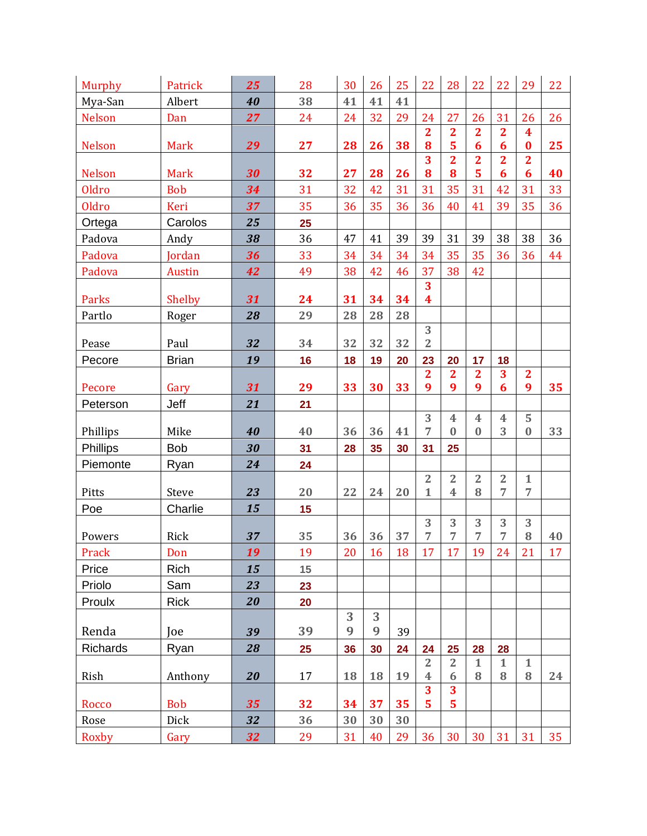| <b>Murphy</b>   | Patrick       | 25 | 28 | 30 | 26 | 25 | 22                      | 28                      | 22                      | 22                      | 29                           | 22 |
|-----------------|---------------|----|----|----|----|----|-------------------------|-------------------------|-------------------------|-------------------------|------------------------------|----|
| Mya-San         | Albert        | 40 | 38 | 41 | 41 | 41 |                         |                         |                         |                         |                              |    |
| <b>Nelson</b>   | Dan           | 27 | 24 | 24 | 32 | 29 | 24                      | 27                      | 26                      | 31                      | 26                           | 26 |
|                 |               |    |    |    |    |    | $\overline{2}$          | $\overline{2}$          | $\overline{2}$          | $\overline{\mathbf{2}}$ | $\overline{\mathbf{4}}$      |    |
| <b>Nelson</b>   | <b>Mark</b>   | 29 | 27 | 28 | 26 | 38 | 8                       | 5                       | 6                       | 6                       | $\bf{0}$                     | 25 |
| <b>Nelson</b>   | <b>Mark</b>   | 30 | 32 | 27 | 28 | 26 | 3<br>8                  | $\overline{2}$<br>8     | $\overline{2}$<br>5     | $\overline{2}$<br>6     | $\overline{2}$<br>6          | 40 |
| <b>Oldro</b>    | <b>Bob</b>    | 34 | 31 | 32 | 42 | 31 | 31                      | 35                      | 31                      | 42                      | 31                           | 33 |
| <b>Oldro</b>    | Keri          | 37 | 35 | 36 | 35 | 36 | 36                      | 40                      | 41                      | 39                      | 35                           | 36 |
| Ortega          | Carolos       | 25 | 25 |    |    |    |                         |                         |                         |                         |                              |    |
| Padova          | Andy          | 38 | 36 | 47 | 41 | 39 | 39                      | 31                      | 39                      | 38                      | 38                           | 36 |
| Padova          | Jordan        | 36 | 33 | 34 | 34 | 34 | 34                      | 35                      | 35                      | 36                      | 36                           | 44 |
| Padova          | <b>Austin</b> | 42 | 49 | 38 | 42 | 46 | 37                      | 38                      | 42                      |                         |                              |    |
|                 |               |    |    |    |    |    | 3                       |                         |                         |                         |                              |    |
| Parks           | Shelby        | 31 | 24 | 31 | 34 | 34 | $\overline{\mathbf{4}}$ |                         |                         |                         |                              |    |
| Partlo          | Roger         | 28 | 29 | 28 | 28 | 28 |                         |                         |                         |                         |                              |    |
|                 |               |    |    |    |    |    | 3                       |                         |                         |                         |                              |    |
| Pease           | Paul          | 32 | 34 | 32 | 32 | 32 | $\overline{2}$          |                         |                         |                         |                              |    |
| Pecore          | <b>Brian</b>  | 19 | 16 | 18 | 19 | 20 | 23                      | 20                      | 17                      | 18                      |                              |    |
| Pecore          | Gary          | 31 | 29 | 33 | 30 | 33 | $\overline{2}$<br>9     | $\mathbf{2}$<br>9       | $\overline{2}$<br>9     | 3<br>6                  | $\overline{\mathbf{2}}$<br>9 | 35 |
| Peterson        | Jeff          | 21 | 21 |    |    |    |                         |                         |                         |                         |                              |    |
|                 |               |    |    |    |    |    | 3                       | $\overline{4}$          | $\overline{\mathbf{4}}$ | $\overline{\mathbf{4}}$ | 5                            |    |
| Phillips        | Mike          | 40 | 40 | 36 | 36 | 41 | $\overline{7}$          | $\mathbf{0}$            | $\bf{0}$                | 3                       | $\bf{0}$                     | 33 |
| <b>Phillips</b> | <b>Bob</b>    | 30 | 31 | 28 | 35 | 30 | 31                      | 25                      |                         |                         |                              |    |
| Piemonte        | Ryan          | 24 | 24 |    |    |    |                         |                         |                         |                         |                              |    |
|                 |               |    |    |    |    |    | $\overline{2}$          | $\overline{2}$          | $\overline{2}$          | $\overline{2}$          | $\mathbf{1}$                 |    |
| Pitts           | <b>Steve</b>  | 23 | 20 | 22 | 24 | 20 | $\mathbf{1}$            | $\overline{\mathbf{4}}$ | 8                       | 7                       | 7                            |    |
| Poe             | Charlie       | 15 | 15 |    |    |    |                         |                         |                         |                         |                              |    |
| Powers          | Rick          | 37 | 35 | 36 | 36 | 37 | 3<br>7                  | 3<br>7                  | 3<br>7                  | 3<br>7                  | 3<br>8                       | 40 |
| Prack           | Don           | 19 | 19 | 20 | 16 | 18 | 17                      | 17                      | 19                      | 24                      | 21                           | 17 |
| Price           | Rich          | 15 | 15 |    |    |    |                         |                         |                         |                         |                              |    |
| Priolo          | Sam           | 23 | 23 |    |    |    |                         |                         |                         |                         |                              |    |
| Proulx          | <b>Rick</b>   | 20 | 20 |    |    |    |                         |                         |                         |                         |                              |    |
|                 |               |    |    | 3  | 3  |    |                         |                         |                         |                         |                              |    |
| Renda           | Joe           | 39 | 39 | 9  | 9  | 39 |                         |                         |                         |                         |                              |    |
| Richards        | Ryan          | 28 | 25 | 36 | 30 | 24 | 24                      | 25                      | 28                      | 28                      |                              |    |
|                 |               |    |    |    |    |    | $\overline{2}$          | $\overline{2}$          | $\mathbf{1}$            | $\mathbf{1}$            | $\mathbf{1}$                 |    |
| Rish            | Anthony       | 20 | 17 | 18 | 18 | 19 | $\overline{\mathbf{4}}$ | 6                       | 8                       | 8                       | 8                            | 24 |
|                 |               |    |    |    |    |    | 3                       | 3                       |                         |                         |                              |    |
| Rocco           | <b>Bob</b>    | 35 | 32 | 34 | 37 | 35 | $\overline{5}$          | 5                       |                         |                         |                              |    |
| Rose            | Dick          | 32 | 36 | 30 | 30 | 30 |                         |                         |                         |                         |                              |    |
| Roxby           | Gary          | 32 | 29 | 31 | 40 | 29 | 36                      | 30                      | 30                      | 31                      | 31                           | 35 |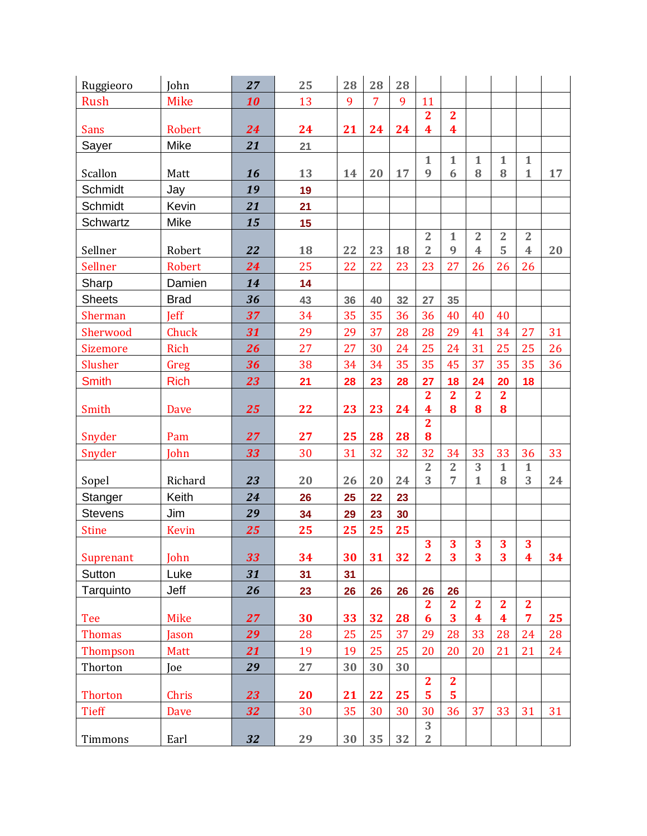| Ruggieoro      | John         | 27       | 25 | 28       | 28             | 28 |                         |                         |                         |                         |                              |    |
|----------------|--------------|----------|----|----------|----------------|----|-------------------------|-------------------------|-------------------------|-------------------------|------------------------------|----|
| <b>Rush</b>    | <b>Mike</b>  | 10       | 13 | 9        | $\overline{7}$ | 9  | 11                      |                         |                         |                         |                              |    |
|                |              |          |    |          |                |    | $\overline{2}$          | $\overline{2}$          |                         |                         |                              |    |
| <b>Sans</b>    | Robert       | 24       | 24 | 21       | 24             | 24 | $\overline{\mathbf{4}}$ | $\overline{\mathbf{4}}$ |                         |                         |                              |    |
| Sayer          | Mike         | 21       | 21 |          |                |    |                         |                         |                         |                         |                              |    |
| Scallon        | Matt         | 16       | 13 | 14       | 20             | 17 | $\mathbf{1}$<br>9       | $\mathbf{1}$<br>6       | $\mathbf{1}$<br>8       | $\mathbf{1}$<br>8       | $\mathbf{1}$<br>$\mathbf{1}$ | 17 |
| Schmidt        | Jay          | 19       | 19 |          |                |    |                         |                         |                         |                         |                              |    |
| Schmidt        | Kevin        | 21       | 21 |          |                |    |                         |                         |                         |                         |                              |    |
| Schwartz       | Mike         | 15       | 15 |          |                |    |                         |                         |                         |                         |                              |    |
|                |              |          |    |          |                |    | $\overline{2}$          | $\mathbf{1}$            | $\overline{2}$          | $\overline{2}$          | $\overline{2}$               |    |
| Sellner        | Robert       | 22       | 18 | 22       | 23             | 18 | $\overline{2}$          | 9                       | $\overline{\mathbf{4}}$ | 5                       | $\overline{\mathbf{4}}$      | 20 |
| Sellner        | Robert       | 24       | 25 | 22       | 22             | 23 | 23                      | 27                      | 26                      | 26                      | 26                           |    |
| Sharp          | Damien       | 14       | 14 |          |                |    |                         |                         |                         |                         |                              |    |
| <b>Sheets</b>  | <b>Brad</b>  | 36       | 43 | 36       | 40             | 32 | 27                      | 35                      |                         |                         |                              |    |
| Sherman        | <b>Jeff</b>  | 37       | 34 | 35       | 35             | 36 | 36                      | 40                      | 40                      | 40                      |                              |    |
| Sherwood       | Chuck        | 31       | 29 | 29       | 37             | 28 | 28                      | 29                      | 41                      | 34                      | 27                           | 31 |
| Sizemore       | Rich         | 26       | 27 | 27       | 30             | 24 | 25                      | 24                      | 31                      | 25                      | 25                           | 26 |
| Slusher        | Greg         | 36       | 38 | 34       | 34             | 35 | 35                      | 45                      | 37                      | 35                      | 35                           | 36 |
| <b>Smith</b>   | <b>Rich</b>  | 23       | 21 | 28       | 23             | 28 | 27                      | 18                      | 24                      | 20                      | 18                           |    |
|                |              |          |    |          |                |    | $\overline{2}$          | $\overline{2}$          | $\overline{2}$          | $\overline{2}$          |                              |    |
| Smith          | Dave         | 25       | 22 | 23       | 23             | 24 | $\overline{\mathbf{4}}$ | 8                       | 8                       | 8                       |                              |    |
| Snyder         | Pam          | 27       | 27 | 25       | 28             | 28 | $\overline{2}$<br>8     |                         |                         |                         |                              |    |
| Snyder         | John         | 33       | 30 | 31       | 32             | 32 | 32                      | 34                      | 33                      | 33                      | 36                           | 33 |
|                |              |          |    |          |                |    | $\overline{2}$          | $\overline{2}$          | 3                       | $\mathbf{1}$            | $\mathbf{1}$                 |    |
| Sopel          | Richard      | 23       | 20 | 26       | 20             | 24 | 3                       | 7                       | $\mathbf{1}$            | 8                       | 3                            | 24 |
| Stanger        | Keith        | 24       | 26 | 25       | 22             | 23 |                         |                         |                         |                         |                              |    |
| <b>Stevens</b> | Jim          | 29       | 34 | 29       | 23             | 30 |                         |                         |                         |                         |                              |    |
| <b>Stine</b>   | <b>Kevin</b> | 25       | 25 | 25       | 25             | 25 |                         |                         |                         |                         |                              |    |
|                |              |          |    |          | 31             | 32 | 3                       | 3<br>3                  | 3<br>3                  | 3<br>3                  | 3                            |    |
| Suprenant      | John         | 33<br>31 | 34 | 30<br>31 |                |    | $\mathbf{2}$            |                         |                         |                         | $\boldsymbol{4}$             | 34 |
| Sutton         | Luke         |          | 31 |          |                |    |                         |                         |                         |                         |                              |    |
| Tarquinto      | Jeff         | 26       | 23 | 26       | 26             | 26 | 26<br>$\overline{2}$    | 26<br>$\overline{2}$    | $\mathbf{2}$            | $\mathbf{2}$            | $\overline{2}$               |    |
| Tee            | <b>Mike</b>  | 27       | 30 | 33       | 32             | 28 | 6                       | 3                       | $\overline{\mathbf{4}}$ | $\overline{\mathbf{4}}$ | $\overline{7}$               | 25 |
| <b>Thomas</b>  | Jason        | 29       | 28 | 25       | 25             | 37 | 29                      | 28                      | 33                      | 28                      | 24                           | 28 |
| Thompson       | Matt         | 21       | 19 | 19       | 25             | 25 | 20                      | 20                      | 20                      | 21                      | 21                           | 24 |
| Thorton        | Joe          | 29       | 27 | 30       | 30             | 30 |                         |                         |                         |                         |                              |    |
|                |              |          |    |          |                |    | $\overline{2}$          | $\mathbf{2}$            |                         |                         |                              |    |
| Thorton        | Chris        | 23       | 20 | 21       | 22             | 25 | $\overline{\mathbf{5}}$ | $\overline{\mathbf{5}}$ |                         |                         |                              |    |
| <b>Tieff</b>   | <b>Dave</b>  | 32       | 30 | 35       | 30             | 30 | 30                      | 36                      | 37                      | 33                      | 31                           | 31 |
|                |              |          |    |          |                |    | 3                       |                         |                         |                         |                              |    |
| Timmons        | Earl         | 32       | 29 | 30       | 35             | 32 | $\overline{2}$          |                         |                         |                         |                              |    |